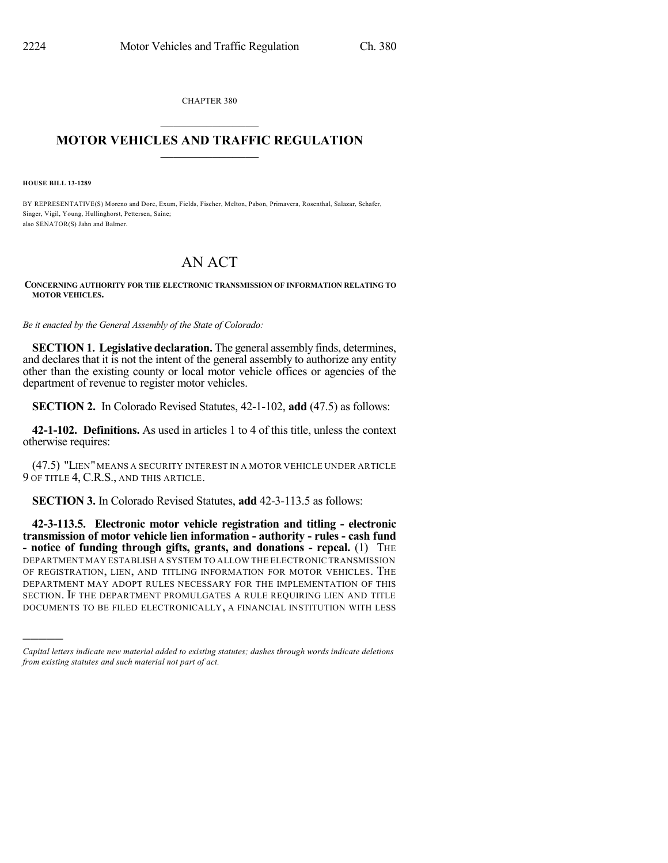CHAPTER 380  $\mathcal{L}_\text{max}$  . The set of the set of the set of the set of the set of the set of the set of the set of the set of the set of the set of the set of the set of the set of the set of the set of the set of the set of the set

## **MOTOR VEHICLES AND TRAFFIC REGULATION**  $\frac{1}{2}$  ,  $\frac{1}{2}$  ,  $\frac{1}{2}$  ,  $\frac{1}{2}$  ,  $\frac{1}{2}$  ,  $\frac{1}{2}$  ,  $\frac{1}{2}$

**HOUSE BILL 13-1289**

)))))

BY REPRESENTATIVE(S) Moreno and Dore, Exum, Fields, Fischer, Melton, Pabon, Primavera, Rosenthal, Salazar, Schafer, Singer, Vigil, Young, Hullinghorst, Pettersen, Saine; also SENATOR(S) Jahn and Balmer.

## AN ACT

## **CONCERNING AUTHORITY FOR THE ELECTRONIC TRANSMISSION OF INFORMATION RELATING TO MOTOR VEHICLES.**

*Be it enacted by the General Assembly of the State of Colorado:*

**SECTION 1. Legislative declaration.** The general assembly finds, determines, and declares that it is not the intent of the general assembly to authorize any entity other than the existing county or local motor vehicle offices or agencies of the department of revenue to register motor vehicles.

**SECTION 2.** In Colorado Revised Statutes, 42-1-102, **add** (47.5) as follows:

**42-1-102. Definitions.** As used in articles 1 to 4 of this title, unless the context otherwise requires:

(47.5) "LIEN" MEANS A SECURITY INTEREST IN A MOTOR VEHICLE UNDER ARTICLE 9 OF TITLE 4, C.R.S., AND THIS ARTICLE.

**SECTION 3.** In Colorado Revised Statutes, **add** 42-3-113.5 as follows:

**42-3-113.5. Electronic motor vehicle registration and titling - electronic transmission of motor vehicle lien information - authority - rules - cash fund - notice of funding through gifts, grants, and donations - repeal.** (1) THE DEPARTMENT MAY ESTABLISH A SYSTEM TO ALLOW THE ELECTRONIC TRANSMISSION OF REGISTRATION, LIEN, AND TITLING INFORMATION FOR MOTOR VEHICLES. THE DEPARTMENT MAY ADOPT RULES NECESSARY FOR THE IMPLEMENTATION OF THIS SECTION. IF THE DEPARTMENT PROMULGATES A RULE REQUIRING LIEN AND TITLE DOCUMENTS TO BE FILED ELECTRONICALLY, A FINANCIAL INSTITUTION WITH LESS

*Capital letters indicate new material added to existing statutes; dashes through words indicate deletions from existing statutes and such material not part of act.*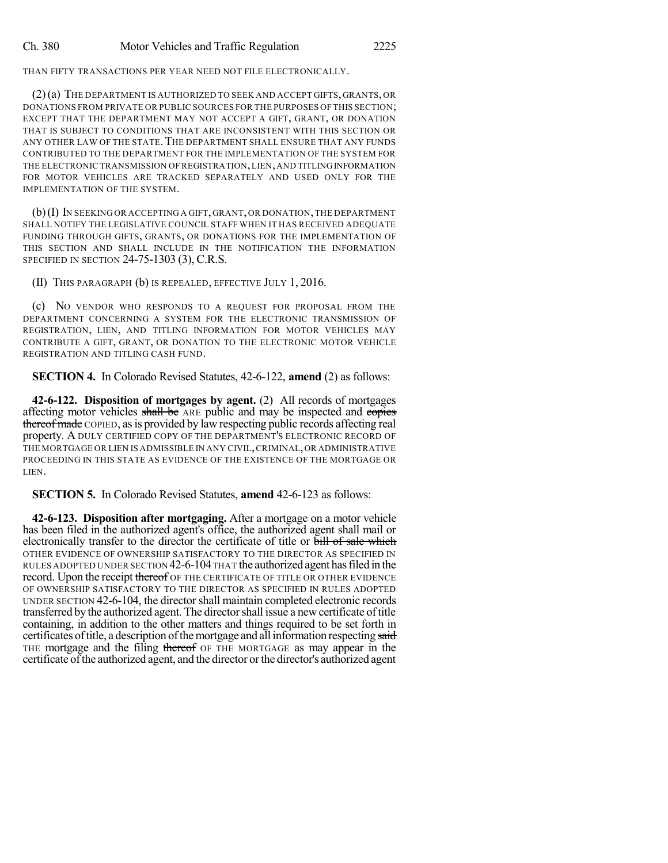THAN FIFTY TRANSACTIONS PER YEAR NEED NOT FILE ELECTRONICALLY.

(2)(a) THE DEPARTMENT IS AUTHORIZED TO SEEK AND ACCEPT GIFTS, GRANTS, OR DONATIONS FROM PRIVATE OR PUBLIC SOURCES FOR THE PURPOSES OF THIS SECTION; EXCEPT THAT THE DEPARTMENT MAY NOT ACCEPT A GIFT, GRANT, OR DONATION THAT IS SUBJECT TO CONDITIONS THAT ARE INCONSISTENT WITH THIS SECTION OR ANY OTHER LAW OF THE STATE. THE DEPARTMENT SHALL ENSURE THAT ANY FUNDS CONTRIBUTED TO THE DEPARTMENT FOR THE IMPLEMENTATION OF THE SYSTEM FOR THE ELECTRONIC TRANSMISSION OF REGISTRATION,LIEN,AND TITLINGINFORMATION FOR MOTOR VEHICLES ARE TRACKED SEPARATELY AND USED ONLY FOR THE IMPLEMENTATION OF THE SYSTEM.

(b)(I) IN SEEKING OR ACCEPTING A GIFT, GRANT, OR DONATION,THE DEPARTMENT SHALL NOTIFY THE LEGISLATIVE COUNCIL STAFF WHEN IT HAS RECEIVED ADEQUATE FUNDING THROUGH GIFTS, GRANTS, OR DONATIONS FOR THE IMPLEMENTATION OF THIS SECTION AND SHALL INCLUDE IN THE NOTIFICATION THE INFORMATION SPECIFIED IN SECTION 24-75-1303 (3), C.R.S.

(II) THIS PARAGRAPH (b) IS REPEALED, EFFECTIVE JULY 1, 2016.

(c) NO VENDOR WHO RESPONDS TO A REQUEST FOR PROPOSAL FROM THE DEPARTMENT CONCERNING A SYSTEM FOR THE ELECTRONIC TRANSMISSION OF REGISTRATION, LIEN, AND TITLING INFORMATION FOR MOTOR VEHICLES MAY CONTRIBUTE A GIFT, GRANT, OR DONATION TO THE ELECTRONIC MOTOR VEHICLE REGISTRATION AND TITLING CASH FUND.

**SECTION 4.** In Colorado Revised Statutes, 42-6-122, **amend** (2) as follows:

**42-6-122. Disposition of mortgages by agent.** (2) All records of mortgages affecting motor vehicles shall be ARE public and may be inspected and copies thereof made COPIED, as is provided by law respecting public records affecting real property. A DULY CERTIFIED COPY OF THE DEPARTMENT'S ELECTRONIC RECORD OF THE MORTGAGE OR LIEN IS ADMISSIBLE IN ANY CIVIL,CRIMINAL,OR ADMINISTRATIVE PROCEEDING IN THIS STATE AS EVIDENCE OF THE EXISTENCE OF THE MORTGAGE OR LIEN.

**SECTION 5.** In Colorado Revised Statutes, **amend** 42-6-123 as follows:

**42-6-123. Disposition after mortgaging.** After a mortgage on a motor vehicle has been filed in the authorized agent's office, the authorized agent shall mail or electronically transfer to the director the certificate of title or bill of sale which OTHER EVIDENCE OF OWNERSHIP SATISFACTORY TO THE DIRECTOR AS SPECIFIED IN RULES ADOPTED UNDER SECTION 42-6-104THAT the authorized agent hasfiled in the record. Upon the receipt thereof OF THE CERTIFICATE OF TITLE OR OTHER EVIDENCE OF OWNERSHIP SATISFACTORY TO THE DIRECTOR AS SPECIFIED IN RULES ADOPTED UNDER SECTION 42-6-104, the directorshall maintain completed electronic records transferred by the authorized agent. The directorshall issue a newcertificate oftitle containing, in addition to the other matters and things required to be set forth in certificates of title, a description of the mortgage and all information respecting said THE mortgage and the filing thereof OF THE MORTGAGE as may appear in the certificate of the authorized agent, and the director or the director's authorized agent